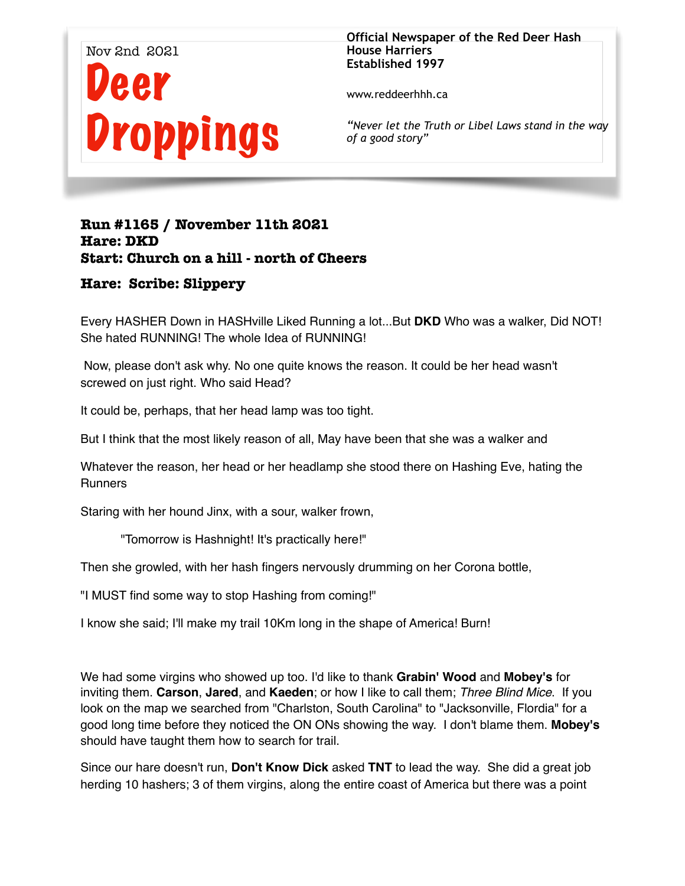

**Official Newspaper of the Red Deer Hash House Harriers Established 1997** 

www.reddeerhhh.ca

*"Never let the Truth or Libel Laws stand in the way of a good story"*

# **Run #1165 / November 11th 2021 Hare: DKD Start: Church on a hill - north of Cheers**

## **Hare: Scribe: Slippery**

Every HASHER Down in HASHville Liked Running a lot...But **DKD** Who was a walker, Did NOT! She hated RUNNING! The whole Idea of RUNNING!

 Now, please don't ask why. No one quite knows the reason. It could be her head wasn't screwed on just right. Who said Head?

It could be, perhaps, that her head lamp was too tight.

But I think that the most likely reason of all, May have been that she was a walker and

Whatever the reason, her head or her headlamp she stood there on Hashing Eve, hating the **Runners** 

Staring with her hound Jinx, with a sour, walker frown,

"Tomorrow is Hashnight! It's practically here!"

Then she growled, with her hash fingers nervously drumming on her Corona bottle,

"I MUST find some way to stop Hashing from coming!"

I know she said; I'll make my trail 10Km long in the shape of America! Burn!

We had some virgins who showed up too. I'd like to thank **Grabin' Wood** and **Mobey's** for inviting them. **Carson**, **Jared**, and **Kaeden**; or how I like to call them; *Three Blind Mice*. If you look on the map we searched from "Charlston, South Carolina" to "Jacksonville, Flordia" for a good long time before they noticed the ON ONs showing the way. I don't blame them. **Mobey's**  should have taught them how to search for trail.

Since our hare doesn't run, **Don't Know Dick** asked **TNT** to lead the way. She did a great job herding 10 hashers; 3 of them virgins, along the entire coast of America but there was a point